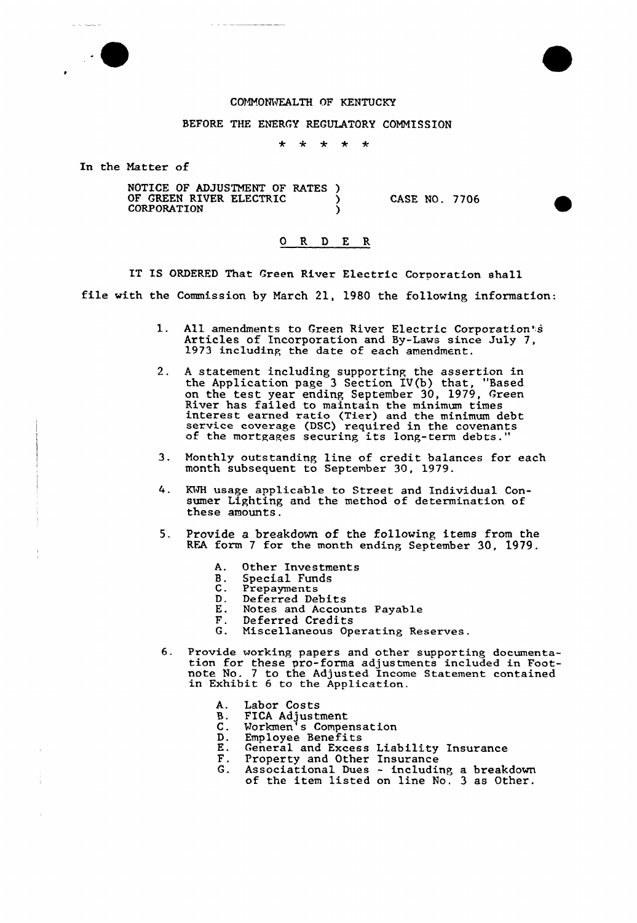## COMMONWEALTH OF KENTUCKY

## BEFORE THE ENERGY REGULATORY COMMISSION

\* \* \* \* \*

In the Matter of

|  | NOTICE OF ADJUSTMENT OF RATES)<br>OF GREEN RIVER ELECTRIC<br><b>CORPORATION</b> |  | CASE NO. 7706 |  |  |
|--|---------------------------------------------------------------------------------|--|---------------|--|--|
|--|---------------------------------------------------------------------------------|--|---------------|--|--|

## O R D E R

IT IS ORDERED That Green River Electric Corporation shall file with the Commission by March 21, 1980 the following information:

- l. All amendments to Green River Electric Corporation's Articles of Incorporation and By-Laws since July 7, 1973 including the date of each amendment.
- 2. <sup>A</sup> statement including supporting the assertion in the Application page 3 Section IV{b) that, "Based on the test year ending September 30, 1979, Green interest earned ratio (Tier) and the minimum debt service coverage (DSC) required in the covenants of the mortgages securing its long-term debts."
- 3. Monthly outstanding line of credit balances for each month subsequent to September 30, 1979.
- 4. KWH usage applicable to Street and Individual Consumer Lighting and the method of determination of these amounts.
- 5. Provide a breakdown of the following items from the RFA form <sup>7</sup> for the month ending September 30, 1979.
	- A. Other Investment
	- B. Special Fund
	- B. Special Fun<br>C. Prepayments<br>D. Deferred De
	- D. Deferred Debits<br>E. Notes and Accoun
	- E. Notes and Accounts Payable
	- F. Deferred Credits<br>G. Miscellaneous Op
	- Miscellaneous Operating Reserves.
- 6. Provide working papers and other supporting documentation for these pro-forma adjustments included in Footnote No. 7 to the Adjusted Income Statement containe in Exhibit 6 to the Application.
	- Labor Costs А.
	- **B.** FICA Adjustmen
	- Workmen's Compensation  $\mathsf{C}$ .
	- Employee Benefits D.
	- $\frac{E}{F}$ . General and Excess Liability Insurance
	- Property and Other Insurance
	- G. Associational Dues - including a breakdow of the item listed on line No. 3 as Other.